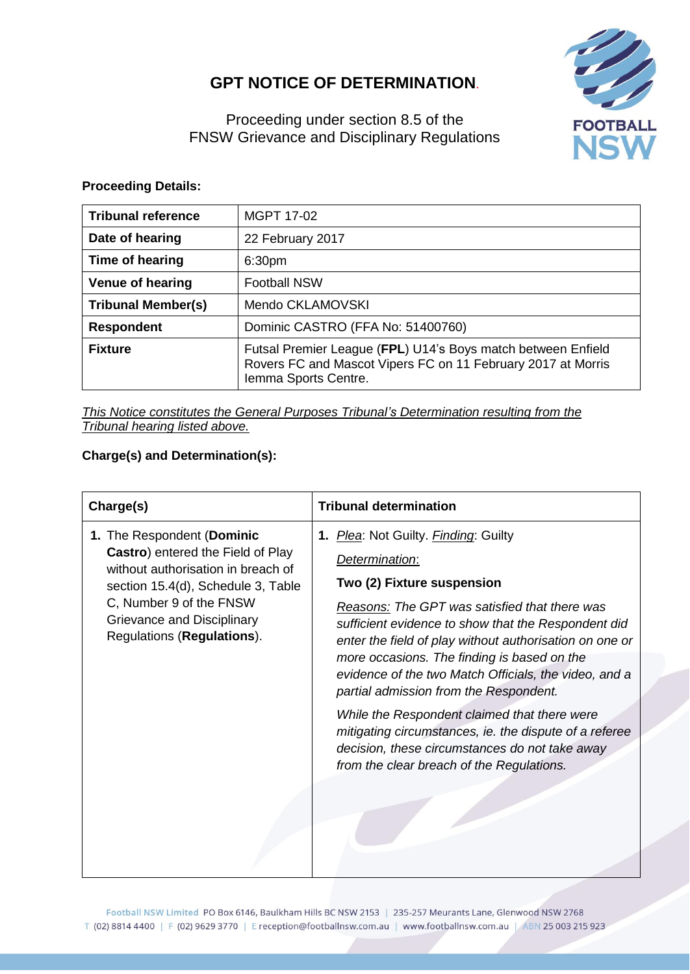# **GPT NOTICE OF DETERMINATION**.



Proceeding under section 8.5 of the FNSW Grievance and Disciplinary Regulations

#### **Proceeding Details:**

| <b>Tribunal reference</b> | MGPT 17-02                                                                                                                                           |  |
|---------------------------|------------------------------------------------------------------------------------------------------------------------------------------------------|--|
| Date of hearing           | 22 February 2017                                                                                                                                     |  |
| Time of hearing           | 6:30 <sub>pm</sub>                                                                                                                                   |  |
| <b>Venue of hearing</b>   | <b>Football NSW</b>                                                                                                                                  |  |
| <b>Tribunal Member(s)</b> | Mendo CKLAMOVSKI                                                                                                                                     |  |
| <b>Respondent</b>         | Dominic CASTRO (FFA No: 51400760)                                                                                                                    |  |
| <b>Fixture</b>            | Futsal Premier League (FPL) U14's Boys match between Enfield<br>Rovers FC and Mascot Vipers FC on 11 February 2017 at Morris<br>Iemma Sports Centre. |  |

*This Notice constitutes the General Purposes Tribunal's Determination resulting from the Tribunal hearing listed above.*

### **Charge(s) and Determination(s):**

| Charge(s)                                                                                                                                                                                                                          | <b>Tribunal determination</b>                                                                                                                                                                                                                                                                                                                                                                                            |
|------------------------------------------------------------------------------------------------------------------------------------------------------------------------------------------------------------------------------------|--------------------------------------------------------------------------------------------------------------------------------------------------------------------------------------------------------------------------------------------------------------------------------------------------------------------------------------------------------------------------------------------------------------------------|
| 1. The Respondent (Dominic<br>Castro) entered the Field of Play<br>without authorisation in breach of<br>section 15.4(d), Schedule 3, Table<br>C, Number 9 of the FNSW<br>Grievance and Disciplinary<br>Regulations (Regulations). | 1. <i>Plea:</i> Not Guilty. <i>Finding</i> : Guilty<br>Determination:<br>Two (2) Fixture suspension<br>Reasons: The GPT was satisfied that there was<br>sufficient evidence to show that the Respondent did<br>enter the field of play without authorisation on one or<br>more occasions. The finding is based on the<br>evidence of the two Match Officials, the video, and a<br>partial admission from the Respondent. |
|                                                                                                                                                                                                                                    | While the Respondent claimed that there were<br>mitigating circumstances, ie. the dispute of a referee<br>decision, these circumstances do not take away<br>from the clear breach of the Regulations.                                                                                                                                                                                                                    |

Football NSW Limited PO Box 6146, Baulkham Hills BC NSW 2153 | 235-257 Meurants Lane, Glenwood NSW 2768 T (02) 8814 4400 | F (02) 9629 3770 | E reception@footballnsw.com.au | www.footballnsw.com.au | ABN 25 003 215 923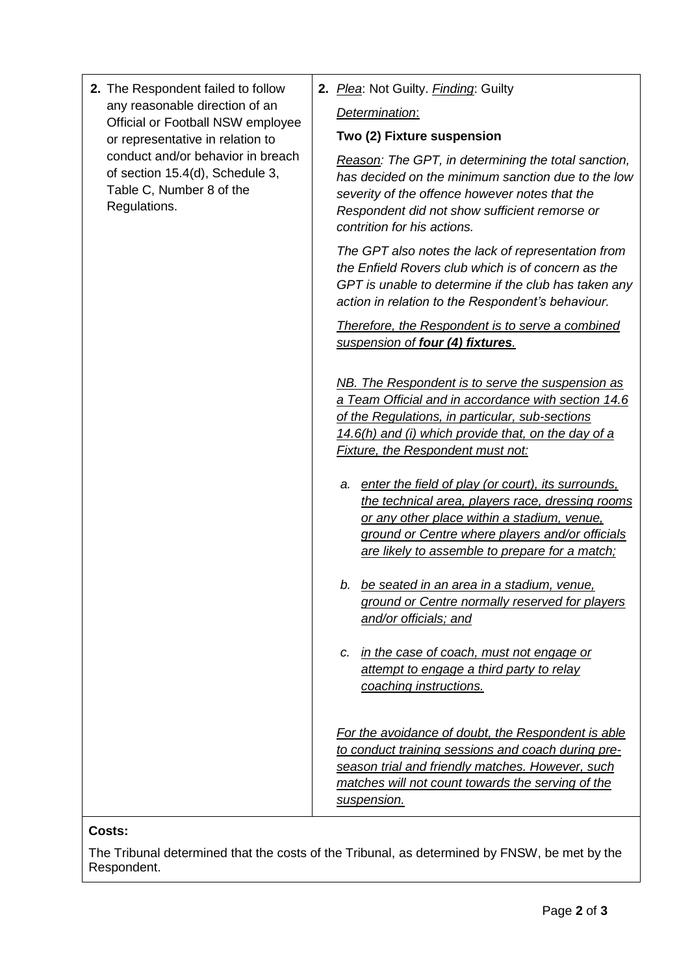| 2. The Respondent failed to follow<br>any reasonable direction of an<br>Official or Football NSW employee<br>or representative in relation to<br>conduct and/or behavior in breach<br>of section 15.4(d), Schedule 3,<br>Table C, Number 8 of the<br>Regulations. | 2. Plea: Not Guilty. Finding: Guilty                                                                                                                                                                                                                          |
|-------------------------------------------------------------------------------------------------------------------------------------------------------------------------------------------------------------------------------------------------------------------|---------------------------------------------------------------------------------------------------------------------------------------------------------------------------------------------------------------------------------------------------------------|
|                                                                                                                                                                                                                                                                   | Determination:                                                                                                                                                                                                                                                |
|                                                                                                                                                                                                                                                                   | Two (2) Fixture suspension                                                                                                                                                                                                                                    |
|                                                                                                                                                                                                                                                                   | Reason: The GPT, in determining the total sanction,<br>has decided on the minimum sanction due to the low<br>severity of the offence however notes that the<br>Respondent did not show sufficient remorse or<br>contrition for his actions.                   |
|                                                                                                                                                                                                                                                                   | The GPT also notes the lack of representation from<br>the Enfield Rovers club which is of concern as the<br>GPT is unable to determine if the club has taken any<br>action in relation to the Respondent's behaviour.                                         |
|                                                                                                                                                                                                                                                                   | Therefore, the Respondent is to serve a combined<br>suspension of four (4) fixtures.                                                                                                                                                                          |
|                                                                                                                                                                                                                                                                   | NB. The Respondent is to serve the suspension as<br>a Team Official and in accordance with section 14.6<br>of the Regulations, in particular, sub-sections<br>14.6(h) and (i) which provide that, on the day of a<br><b>Fixture, the Respondent must not:</b> |
|                                                                                                                                                                                                                                                                   | a. enter the field of play (or court), its surrounds.<br>the technical area, players race, dressing rooms<br>or any other place within a stadium, venue,<br>ground or Centre where players and/or officials<br>are likely to assemble to prepare for a match; |
|                                                                                                                                                                                                                                                                   | b. be seated in an area in a stadium, venue,<br>ground or Centre normally reserved for players<br>and/or officials; and                                                                                                                                       |
|                                                                                                                                                                                                                                                                   | c. in the case of coach, must not engage or<br>attempt to engage a third party to relay<br>coaching instructions.                                                                                                                                             |
|                                                                                                                                                                                                                                                                   | For the avoidance of doubt, the Respondent is able<br>to conduct training sessions and coach during pre-<br>season trial and friendly matches. However, such<br>matches will not count towards the serving of the<br>suspension.                              |

## **Costs:**

The Tribunal determined that the costs of the Tribunal, as determined by FNSW, be met by the Respondent.